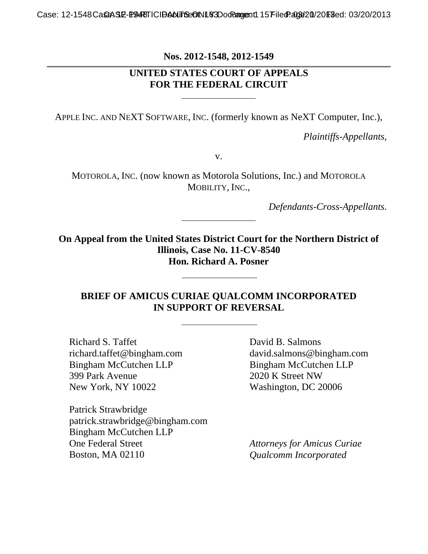**Nos. 2012-1548, 2012-1549**

# **UNITED STATES COURT OF APPEALS FOR THE FEDERAL CIRCUIT**

APPLE INC. AND NEXT SOFTWARE, INC. (formerly known as NeXT Computer, Inc.),

*Plaintiffs-Appellants*,

v.

MOTOROLA, INC. (now known as Motorola Solutions, Inc.) and MOTOROLA MOBILITY, INC.,

*Defendants-Cross-Appellants*.

**On Appeal from the United States District Court for the Northern District of Illinois, Case No. 11-CV-8540 Hon. Richard A. Posner** 

#### **BRIEF OF AMICUS CURIAE QUALCOMM INCORPORATED IN SUPPORT OF REVERSAL**

Richard S. Taffet richard.taffet@bingham.com Bingham McCutchen LLP 399 Park Avenue New York, NY 10022

Patrick Strawbridge patrick.strawbridge@bingham.com Bingham McCutchen LLP One Federal Street Boston, MA 02110

 David B. Salmons david.salmons@bingham.com Bingham McCutchen LLP 2020 K Street NW Washington, DC 20006

*Attorneys for Amicus Curiae Qualcomm Incorporated*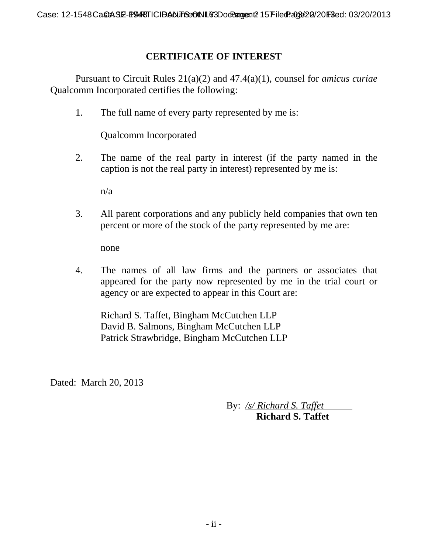# **CERTIFICATE OF INTEREST**

Pursuant to Circuit Rules 21(a)(2) and 47.4(a)(1), counsel for *amicus curiae* Qualcomm Incorporated certifies the following:

1. The full name of every party represented by me is:

Qualcomm Incorporated

2. The name of the real party in interest (if the party named in the caption is not the real party in interest) represented by me is:

n/a

3. All parent corporations and any publicly held companies that own ten percent or more of the stock of the party represented by me are:

none

4. The names of all law firms and the partners or associates that appeared for the party now represented by me in the trial court or agency or are expected to appear in this Court are:

Richard S. Taffet, Bingham McCutchen LLP David B. Salmons, Bingham McCutchen LLP Patrick Strawbridge, Bingham McCutchen LLP

Dated: March 20, 2013

 By: */s/ Richard S. Taffet*  **Richard S. Taffet**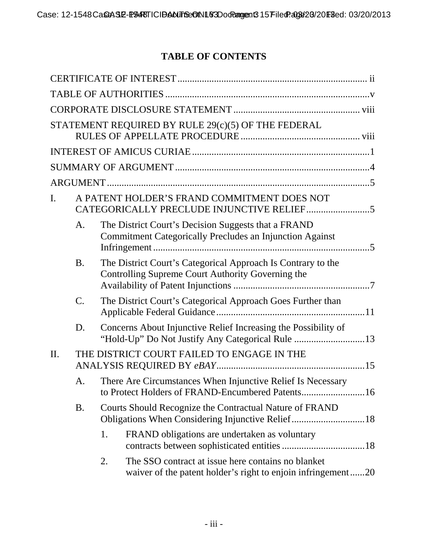# **TABLE OF CONTENTS**

| STATEMENT REQUIRED BY RULE 29(c)(5) OF THE FEDERAL |                                             |                                                                                                                          |  |  |  |  |  |  |
|----------------------------------------------------|---------------------------------------------|--------------------------------------------------------------------------------------------------------------------------|--|--|--|--|--|--|
|                                                    |                                             |                                                                                                                          |  |  |  |  |  |  |
|                                                    |                                             |                                                                                                                          |  |  |  |  |  |  |
|                                                    |                                             |                                                                                                                          |  |  |  |  |  |  |
| $\mathbf{I}$ .                                     | A PATENT HOLDER'S FRAND COMMITMENT DOES NOT |                                                                                                                          |  |  |  |  |  |  |
|                                                    | A <sub>1</sub>                              | The District Court's Decision Suggests that a FRAND<br><b>Commitment Categorically Precludes an Injunction Against</b>   |  |  |  |  |  |  |
|                                                    | <b>B.</b>                                   | The District Court's Categorical Approach Is Contrary to the<br>Controlling Supreme Court Authority Governing the        |  |  |  |  |  |  |
|                                                    | $C_{\cdot}$                                 | The District Court's Categorical Approach Goes Further than                                                              |  |  |  |  |  |  |
|                                                    | D.                                          | Concerns About Injunctive Relief Increasing the Possibility of<br>"Hold-Up" Do Not Justify Any Categorical Rule 13       |  |  |  |  |  |  |
| THE DISTRICT COURT FAILED TO ENGAGE IN THE<br>II.  |                                             |                                                                                                                          |  |  |  |  |  |  |
|                                                    | A.                                          | There Are Circumstances When Injunctive Relief Is Necessary                                                              |  |  |  |  |  |  |
|                                                    | <b>B.</b>                                   | Courts Should Recognize the Contractual Nature of FRAND<br>Obligations When Considering Injunctive Relief18              |  |  |  |  |  |  |
|                                                    |                                             | FRAND obligations are undertaken as voluntary<br>1.                                                                      |  |  |  |  |  |  |
|                                                    |                                             | The SSO contract at issue here contains no blanket<br>2.<br>waiver of the patent holder's right to enjoin infringement20 |  |  |  |  |  |  |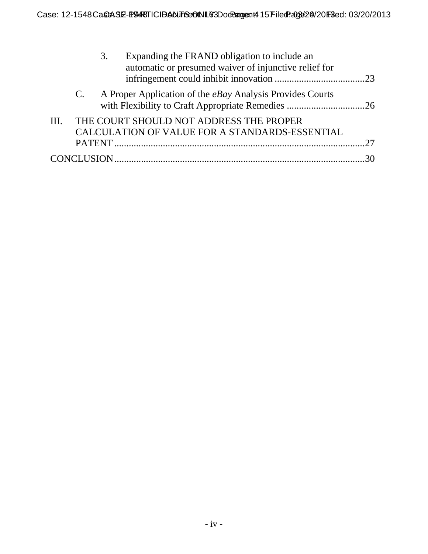|      |             | 3. | Expanding the FRAND obligation to include an<br>automatic or presumed waiver of injunctive relief for |  |
|------|-------------|----|-------------------------------------------------------------------------------------------------------|--|
|      | $C_{\cdot}$ |    | A Proper Application of the <i>eBay</i> Analysis Provides Courts                                      |  |
| III. |             |    | THE COURT SHOULD NOT ADDRESS THE PROPER<br>CALCULATION OF VALUE FOR A STANDARDS-ESSENTIAL             |  |
|      |             |    |                                                                                                       |  |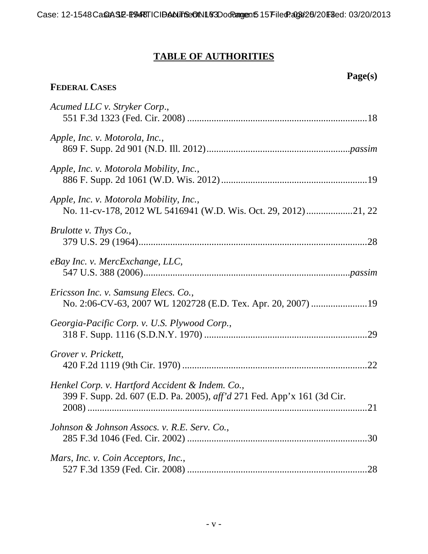# **TABLE OF AUTHORITIES**

 **Page(s)** 

# **FEDERAL CASES**

| Acumed LLC v. Stryker Corp.,                                                                                               |
|----------------------------------------------------------------------------------------------------------------------------|
| Apple, Inc. v. Motorola, Inc.,                                                                                             |
| Apple, Inc. v. Motorola Mobility, Inc.,                                                                                    |
| Apple, Inc. v. Motorola Mobility, Inc.,                                                                                    |
| Brulotte v. Thys Co.,                                                                                                      |
| eBay Inc. v. MercExchange, LLC,                                                                                            |
| Ericsson Inc. v. Samsung Elecs. Co.,                                                                                       |
| Georgia-Pacific Corp. v. U.S. Plywood Corp.,                                                                               |
| Grover v. Prickett,                                                                                                        |
| Henkel Corp. v. Hartford Accident & Indem. Co.,<br>399 F. Supp. 2d. 607 (E.D. Pa. 2005), aff'd 271 Fed. App'x 161 (3d Cir. |
| Johnson & Johnson Assocs. v. R.E. Serv. Co.,<br>.30                                                                        |
| Mars, Inc. v. Coin Acceptors, Inc.,<br>28                                                                                  |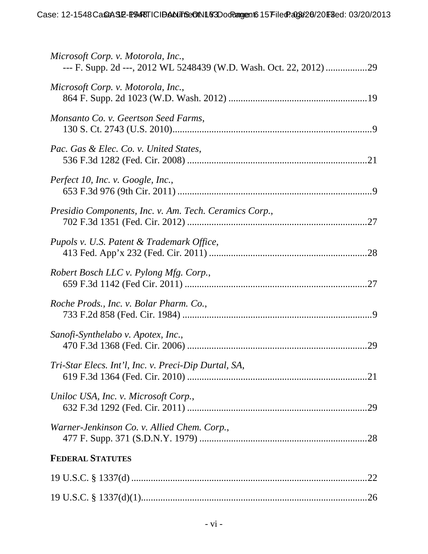| Microsoft Corp. v. Motorola, Inc.,                     |
|--------------------------------------------------------|
| Microsoft Corp. v. Motorola, Inc.,                     |
| Monsanto Co. v. Geertson Seed Farms,                   |
| Pac. Gas & Elec. Co. v. United States,                 |
| Perfect 10, Inc. v. Google, Inc.,                      |
| Presidio Components, Inc. v. Am. Tech. Ceramics Corp., |
| Pupols v. U.S. Patent & Trademark Office,              |
| Robert Bosch LLC v. Pylong Mfg. Corp.,                 |
| Roche Prods., Inc. v. Bolar Pharm. Co.,                |
| Sanofi-Synthelabo v. Apotex, Inc.,                     |
| Tri-Star Elecs. Int'l, Inc. v. Preci-Dip Durtal, SA,   |
| Uniloc USA, Inc. v. Microsoft Corp.,                   |
| Warner-Jenkinson Co. v. Allied Chem. Corp.,            |
| <b>FEDERAL STATUTES</b>                                |
|                                                        |
|                                                        |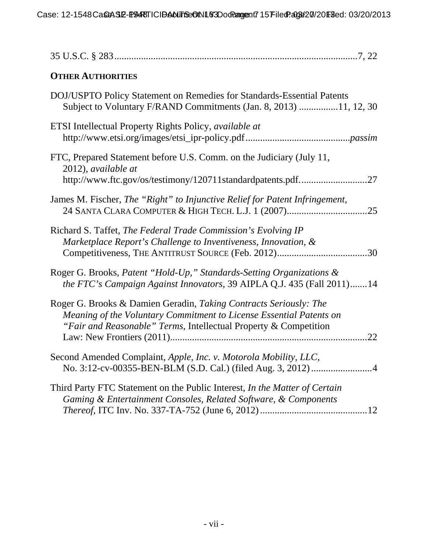| <b>OTHER AUTHORITIES</b>                                                                                                                                                                                            |
|---------------------------------------------------------------------------------------------------------------------------------------------------------------------------------------------------------------------|
| DOJ/USPTO Policy Statement on Remedies for Standards-Essential Patents<br>Subject to Voluntary F/RAND Commitments (Jan. 8, 2013) 11, 12, 30                                                                         |
| ETSI Intellectual Property Rights Policy, <i>available at</i>                                                                                                                                                       |
| FTC, Prepared Statement before U.S. Comm. on the Judiciary (July 11,<br>2012), available at<br>http://www.ftc.gov/os/testimony/120711standardpatents.pdf27                                                          |
| James M. Fischer, The "Right" to Injunctive Relief for Patent Infringement,<br>24 SANTA CLARA COMPUTER & HIGH TECH. L.J. 1 (2007)<br>.25                                                                            |
| Richard S. Taffet, The Federal Trade Commission's Evolving IP<br>Marketplace Report's Challenge to Inventiveness, Innovation, &<br>.30                                                                              |
| Roger G. Brooks, Patent "Hold-Up," Standards-Setting Organizations &<br>the FTC's Campaign Against Innovators, 39 AIPLA Q.J. 435 (Fall 2011)14                                                                      |
| Roger G. Brooks & Damien Geradin, Taking Contracts Seriously: The<br>Meaning of the Voluntary Commitment to License Essential Patents on<br>"Fair and Reasonable" Terms, Intellectual Property & Competition<br>.22 |
| Second Amended Complaint, Apple, Inc. v. Motorola Mobility, LLC,                                                                                                                                                    |
| Third Party FTC Statement on the Public Interest, In the Matter of Certain<br>Gaming & Entertainment Consoles, Related Software, & Components                                                                       |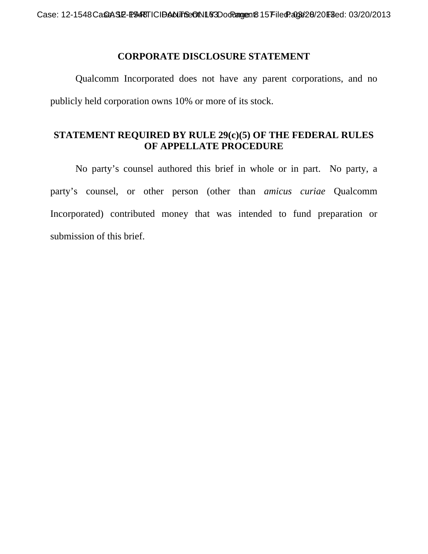#### **CORPORATE DISCLOSURE STATEMENT**

Qualcomm Incorporated does not have any parent corporations, and no publicly held corporation owns 10% or more of its stock.

## **STATEMENT REQUIRED BY RULE 29(c)(5) OF THE FEDERAL RULES OF APPELLATE PROCEDURE**

 No party's counsel authored this brief in whole or in part. No party, a party's counsel, or other person (other than *amicus curiae* Qualcomm Incorporated) contributed money that was intended to fund preparation or submission of this brief.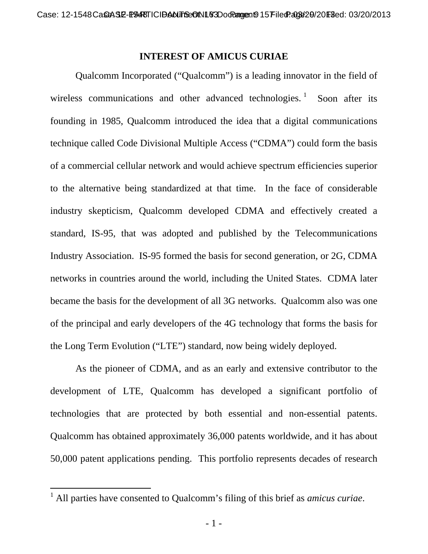#### **INTEREST OF AMICUS CURIAE**

Qualcomm Incorporated ("Qualcomm") is a leading innovator in the field of wireless communications and other advanced technologies.<sup>1</sup> Soon after its founding in 1985, Qualcomm introduced the idea that a digital communications technique called Code Divisional Multiple Access ("CDMA") could form the basis of a commercial cellular network and would achieve spectrum efficiencies superior to the alternative being standardized at that time. In the face of considerable industry skepticism, Qualcomm developed CDMA and effectively created a standard, IS-95, that was adopted and published by the Telecommunications Industry Association. IS-95 formed the basis for second generation, or 2G, CDMA networks in countries around the world, including the United States. CDMA later became the basis for the development of all 3G networks. Qualcomm also was one of the principal and early developers of the 4G technology that forms the basis for the Long Term Evolution ("LTE") standard, now being widely deployed.

As the pioneer of CDMA, and as an early and extensive contributor to the development of LTE, Qualcomm has developed a significant portfolio of technologies that are protected by both essential and non-essential patents. Qualcomm has obtained approximately 36,000 patents worldwide, and it has about 50,000 patent applications pending. This portfolio represents decades of research

<sup>1</sup> All parties have consented to Qualcomm's filing of this brief as *amicus curiae*.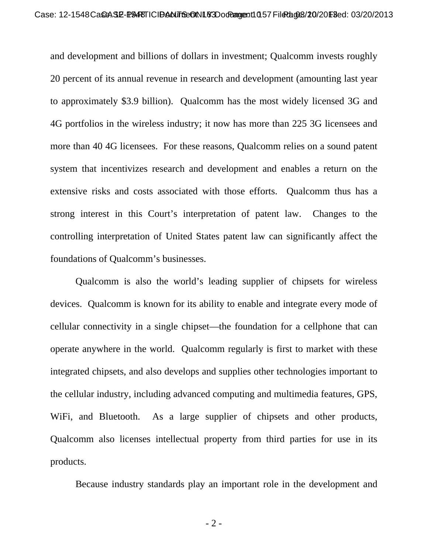and development and billions of dollars in investment; Qualcomm invests roughly 20 percent of its annual revenue in research and development (amounting last year to approximately \$3.9 billion). Qualcomm has the most widely licensed 3G and 4G portfolios in the wireless industry; it now has more than 225 3G licensees and more than 40 4G licensees. For these reasons, Qualcomm relies on a sound patent system that incentivizes research and development and enables a return on the extensive risks and costs associated with those efforts. Qualcomm thus has a strong interest in this Court's interpretation of patent law. Changes to the controlling interpretation of United States patent law can significantly affect the foundations of Qualcomm's businesses.

Qualcomm is also the world's leading supplier of chipsets for wireless devices. Qualcomm is known for its ability to enable and integrate every mode of cellular connectivity in a single chipset—the foundation for a cellphone that can operate anywhere in the world. Qualcomm regularly is first to market with these integrated chipsets, and also develops and supplies other technologies important to the cellular industry, including advanced computing and multimedia features, GPS, WiFi, and Bluetooth. As a large supplier of chipsets and other products, Qualcomm also licenses intellectual property from third parties for use in its products.

Because industry standards play an important role in the development and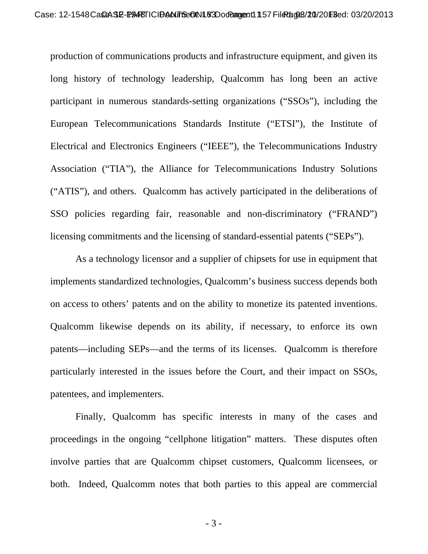production of communications products and infrastructure equipment, and given its long history of technology leadership, Qualcomm has long been an active participant in numerous standards-setting organizations ("SSOs"), including the European Telecommunications Standards Institute ("ETSI"), the Institute of Electrical and Electronics Engineers ("IEEE"), the Telecommunications Industry Association ("TIA"), the Alliance for Telecommunications Industry Solutions ("ATIS"), and others. Qualcomm has actively participated in the deliberations of SSO policies regarding fair, reasonable and non-discriminatory ("FRAND") licensing commitments and the licensing of standard-essential patents ("SEPs").

As a technology licensor and a supplier of chipsets for use in equipment that implements standardized technologies, Qualcomm's business success depends both on access to others' patents and on the ability to monetize its patented inventions. Qualcomm likewise depends on its ability, if necessary, to enforce its own patents—including SEPs—and the terms of its licenses. Qualcomm is therefore particularly interested in the issues before the Court, and their impact on SSOs, patentees, and implementers.

Finally, Qualcomm has specific interests in many of the cases and proceedings in the ongoing "cellphone litigation" matters. These disputes often involve parties that are Qualcomm chipset customers, Qualcomm licensees, or both. Indeed, Qualcomm notes that both parties to this appeal are commercial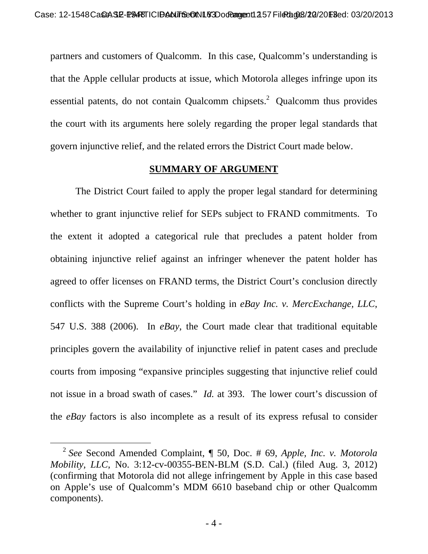partners and customers of Qualcomm. In this case, Qualcomm's understanding is that the Apple cellular products at issue, which Motorola alleges infringe upon its essential patents, do not contain Qualcomm chipsets.<sup>2</sup> Qualcomm thus provides the court with its arguments here solely regarding the proper legal standards that govern injunctive relief, and the related errors the District Court made below.

#### **SUMMARY OF ARGUMENT**

The District Court failed to apply the proper legal standard for determining whether to grant injunctive relief for SEPs subject to FRAND commitments. To the extent it adopted a categorical rule that precludes a patent holder from obtaining injunctive relief against an infringer whenever the patent holder has agreed to offer licenses on FRAND terms, the District Court's conclusion directly conflicts with the Supreme Court's holding in *eBay Inc. v. MercExchange, LLC*, 547 U.S. 388 (2006). In *eBay*, the Court made clear that traditional equitable principles govern the availability of injunctive relief in patent cases and preclude courts from imposing "expansive principles suggesting that injunctive relief could not issue in a broad swath of cases." *Id.* at 393. The lower court's discussion of the *eBay* factors is also incomplete as a result of its express refusal to consider

 <sup>2</sup> *See* Second Amended Complaint, ¶ 50, Doc. # 69, *Apple, Inc. v. Motorola Mobility, LLC*, No. 3:12-cv-00355-BEN-BLM (S.D. Cal.) (filed Aug. 3, 2012) (confirming that Motorola did not allege infringement by Apple in this case based on Apple's use of Qualcomm's MDM 6610 baseband chip or other Qualcomm components).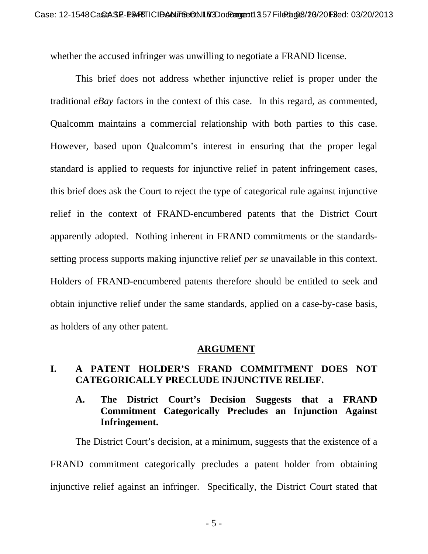whether the accused infringer was unwilling to negotiate a FRAND license.

This brief does not address whether injunctive relief is proper under the traditional *eBay* factors in the context of this case. In this regard, as commented, Qualcomm maintains a commercial relationship with both parties to this case. However, based upon Qualcomm's interest in ensuring that the proper legal standard is applied to requests for injunctive relief in patent infringement cases, this brief does ask the Court to reject the type of categorical rule against injunctive relief in the context of FRAND-encumbered patents that the District Court apparently adopted. Nothing inherent in FRAND commitments or the standardssetting process supports making injunctive relief *per se* unavailable in this context. Holders of FRAND-encumbered patents therefore should be entitled to seek and obtain injunctive relief under the same standards, applied on a case-by-case basis, as holders of any other patent.

#### **ARGUMENT**

# **I. A PATENT HOLDER'S FRAND COMMITMENT DOES NOT CATEGORICALLY PRECLUDE INJUNCTIVE RELIEF.**

## **A. The District Court's Decision Suggests that a FRAND Commitment Categorically Precludes an Injunction Against Infringement.**

The District Court's decision, at a minimum, suggests that the existence of a FRAND commitment categorically precludes a patent holder from obtaining injunctive relief against an infringer. Specifically, the District Court stated that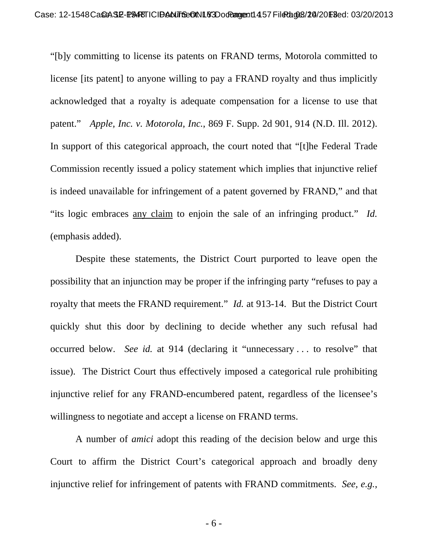"[b]y committing to license its patents on FRAND terms, Motorola committed to license [its patent] to anyone willing to pay a FRAND royalty and thus implicitly acknowledged that a royalty is adequate compensation for a license to use that patent." *Apple, Inc. v. Motorola, Inc.*, 869 F. Supp. 2d 901, 914 (N.D. Ill. 2012). In support of this categorical approach, the court noted that "[t]he Federal Trade Commission recently issued a policy statement which implies that injunctive relief is indeed unavailable for infringement of a patent governed by FRAND," and that "its logic embraces any claim to enjoin the sale of an infringing product." *Id.*  (emphasis added).

Despite these statements, the District Court purported to leave open the possibility that an injunction may be proper if the infringing party "refuses to pay a royalty that meets the FRAND requirement." *Id.* at 913-14. But the District Court quickly shut this door by declining to decide whether any such refusal had occurred below. *See id.* at 914 (declaring it "unnecessary . . . to resolve" that issue). The District Court thus effectively imposed a categorical rule prohibiting injunctive relief for any FRAND-encumbered patent, regardless of the licensee's willingness to negotiate and accept a license on FRAND terms.

A number of *amici* adopt this reading of the decision below and urge this Court to affirm the District Court's categorical approach and broadly deny injunctive relief for infringement of patents with FRAND commitments. *See, e.g.*,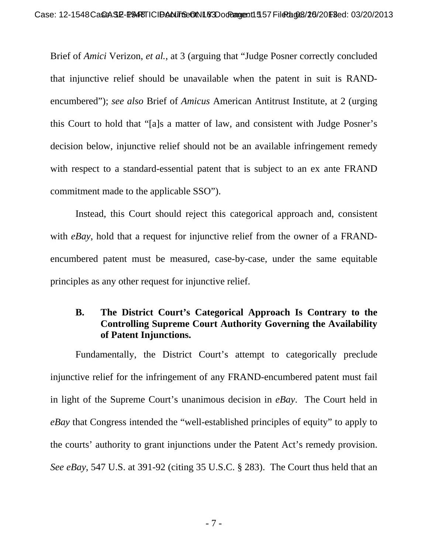Brief of *Amici* Verizon, *et al.*, at 3 (arguing that "Judge Posner correctly concluded that injunctive relief should be unavailable when the patent in suit is RANDencumbered"); *see also* Brief of *Amicus* American Antitrust Institute, at 2 (urging this Court to hold that "[a]s a matter of law, and consistent with Judge Posner's decision below, injunctive relief should not be an available infringement remedy with respect to a standard-essential patent that is subject to an ex ante FRAND commitment made to the applicable SSO").

Instead, this Court should reject this categorical approach and, consistent with *eBay*, hold that a request for injunctive relief from the owner of a FRANDencumbered patent must be measured, case-by-case, under the same equitable principles as any other request for injunctive relief.

## **B. The District Court's Categorical Approach Is Contrary to the Controlling Supreme Court Authority Governing the Availability of Patent Injunctions.**

Fundamentally, the District Court's attempt to categorically preclude injunctive relief for the infringement of any FRAND-encumbered patent must fail in light of the Supreme Court's unanimous decision in *eBay*. The Court held in *eBay* that Congress intended the "well-established principles of equity" to apply to the courts' authority to grant injunctions under the Patent Act's remedy provision. *See eBay*, 547 U.S. at 391-92 (citing 35 U.S.C. § 283). The Court thus held that an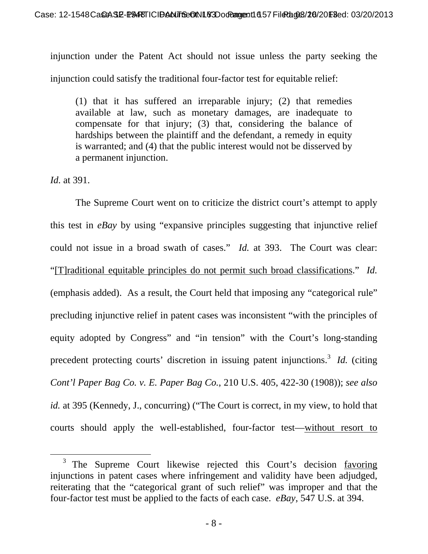injunction under the Patent Act should not issue unless the party seeking the injunction could satisfy the traditional four-factor test for equitable relief:

(1) that it has suffered an irreparable injury; (2) that remedies available at law, such as monetary damages, are inadequate to compensate for that injury; (3) that, considering the balance of hardships between the plaintiff and the defendant, a remedy in equity is warranted; and (4) that the public interest would not be disserved by a permanent injunction.

*Id.* at 391.

 The Supreme Court went on to criticize the district court's attempt to apply this test in *eBay* by using "expansive principles suggesting that injunctive relief could not issue in a broad swath of cases." *Id.* at 393. The Court was clear: "[T]raditional equitable principles do not permit such broad classifications." *Id.*  (emphasis added).As a result, the Court held that imposing any "categorical rule" precluding injunctive relief in patent cases was inconsistent "with the principles of equity adopted by Congress" and "in tension" with the Court's long-standing precedent protecting courts' discretion in issuing patent injunctions.<sup>3</sup> *Id.* (citing *Cont'l Paper Bag Co. v. E. Paper Bag Co.*, 210 U.S. 405, 422-30 (1908)); *see also id.* at 395 (Kennedy, J., concurring) ("The Court is correct, in my view, to hold that courts should apply the well-established, four-factor test—without resort to

<sup>&</sup>lt;sup>3</sup> The Supreme Court likewise rejected this Court's decision favoring injunctions in patent cases where infringement and validity have been adjudged, reiterating that the "categorical grant of such relief" was improper and that the four-factor test must be applied to the facts of each case. *eBay*, 547 U.S. at 394.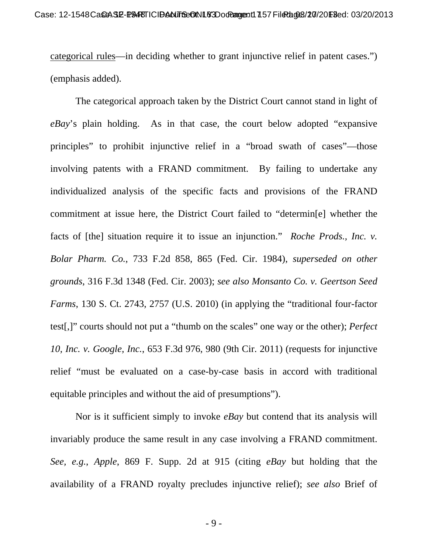categorical rules—in deciding whether to grant injunctive relief in patent cases.") (emphasis added).

 The categorical approach taken by the District Court cannot stand in light of *eBay*'s plain holding. As in that case, the court below adopted "expansive principles" to prohibit injunctive relief in a "broad swath of cases"—those involving patents with a FRAND commitment. By failing to undertake any individualized analysis of the specific facts and provisions of the FRAND commitment at issue here, the District Court failed to "determin[e] whether the facts of [the] situation require it to issue an injunction." *Roche Prods., Inc. v. Bolar Pharm. Co.*, 733 F.2d 858, 865 (Fed. Cir. 1984), *superseded on other grounds*, 316 F.3d 1348 (Fed. Cir. 2003); *see also Monsanto Co. v. Geertson Seed Farms*, 130 S. Ct. 2743, 2757 (U.S. 2010) (in applying the "traditional four-factor test[,]" courts should not put a "thumb on the scales" one way or the other); *Perfect 10, Inc. v. Google, Inc.*, 653 F.3d 976, 980 (9th Cir. 2011) (requests for injunctive relief "must be evaluated on a case-by-case basis in accord with traditional equitable principles and without the aid of presumptions").

 Nor is it sufficient simply to invoke *eBay* but contend that its analysis will invariably produce the same result in any case involving a FRAND commitment. *See, e.g.*, *Apple*, 869 F. Supp. 2d at 915 (citing *eBay* but holding that the availability of a FRAND royalty precludes injunctive relief); *see also* Brief of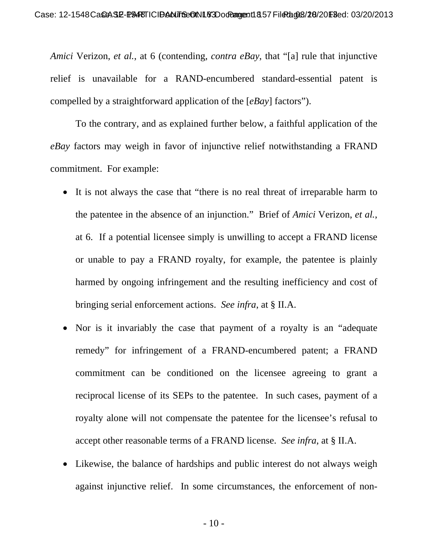*Amici* Verizon, *et al.*, at 6 (contending, *contra eBay*, that "[a] rule that injunctive relief is unavailable for a RAND-encumbered standard-essential patent is compelled by a straightforward application of the [*eBay*] factors").

 To the contrary, and as explained further below, a faithful application of the *eBay* factors may weigh in favor of injunctive relief notwithstanding a FRAND commitment. For example:

- It is not always the case that "there is no real threat of irreparable harm to the patentee in the absence of an injunction." Brief of *Amici* Verizon, *et al.*, at 6. If a potential licensee simply is unwilling to accept a FRAND license or unable to pay a FRAND royalty, for example, the patentee is plainly harmed by ongoing infringement and the resulting inefficiency and cost of bringing serial enforcement actions. *See infra*, at § II.A.
- Nor is it invariably the case that payment of a royalty is an "adequate remedy" for infringement of a FRAND-encumbered patent; a FRAND commitment can be conditioned on the licensee agreeing to grant a reciprocal license of its SEPs to the patentee. In such cases, payment of a royalty alone will not compensate the patentee for the licensee's refusal to accept other reasonable terms of a FRAND license. *See infra*, at § II.A.
- Likewise, the balance of hardships and public interest do not always weigh against injunctive relief. In some circumstances, the enforcement of non-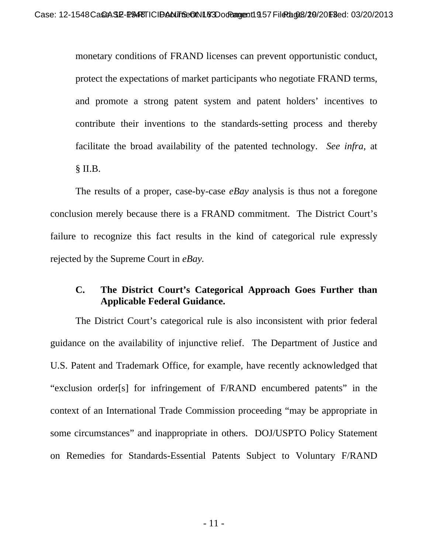monetary conditions of FRAND licenses can prevent opportunistic conduct, protect the expectations of market participants who negotiate FRAND terms, and promote a strong patent system and patent holders' incentives to contribute their inventions to the standards-setting process and thereby facilitate the broad availability of the patented technology. *See infra*, at  $§$  II.B.

 The results of a proper, case-by-case *eBay* analysis is thus not a foregone conclusion merely because there is a FRAND commitment. The District Court's failure to recognize this fact results in the kind of categorical rule expressly rejected by the Supreme Court in *eBay.* 

#### **C. The District Court's Categorical Approach Goes Further than Applicable Federal Guidance.**

The District Court's categorical rule is also inconsistent with prior federal guidance on the availability of injunctive relief. The Department of Justice and U.S. Patent and Trademark Office, for example, have recently acknowledged that "exclusion order[s] for infringement of F/RAND encumbered patents" in the context of an International Trade Commission proceeding "may be appropriate in some circumstances" and inappropriate in others. DOJ/USPTO Policy Statement on Remedies for Standards-Essential Patents Subject to Voluntary F/RAND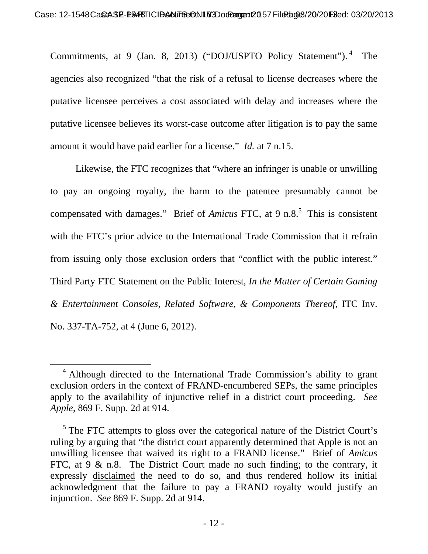Commitments, at 9 (Jan. 8, 2013) ("DOJ/USPTO Policy Statement"). 4 The agencies also recognized "that the risk of a refusal to license decreases where the putative licensee perceives a cost associated with delay and increases where the putative licensee believes its worst-case outcome after litigation is to pay the same amount it would have paid earlier for a license." *Id.* at 7 n.15.

Likewise, the FTC recognizes that "where an infringer is unable or unwilling to pay an ongoing royalty, the harm to the patentee presumably cannot be compensated with damages." Brief of *Amicus FTC*, at 9 n.8.<sup>5</sup> This is consistent with the FTC's prior advice to the International Trade Commission that it refrain from issuing only those exclusion orders that "conflict with the public interest." Third Party FTC Statement on the Public Interest, *In the Matter of Certain Gaming & Entertainment Consoles, Related Software, & Components Thereof*, ITC Inv. No. 337-TA-752, at 4 (June 6, 2012).

 <sup>4</sup> Although directed to the International Trade Commission's ability to grant exclusion orders in the context of FRAND-encumbered SEPs, the same principles apply to the availability of injunctive relief in a district court proceeding. *See Apple*, 869 F. Supp. 2d at 914.

 $<sup>5</sup>$  The FTC attempts to gloss over the categorical nature of the District Court's</sup> ruling by arguing that "the district court apparently determined that Apple is not an unwilling licensee that waived its right to a FRAND license." Brief of *Amicus*  FTC, at  $9 \& n.8$ . The District Court made no such finding; to the contrary, it expressly disclaimed the need to do so, and thus rendered hollow its initial acknowledgment that the failure to pay a FRAND royalty would justify an injunction. *See* 869 F. Supp. 2d at 914.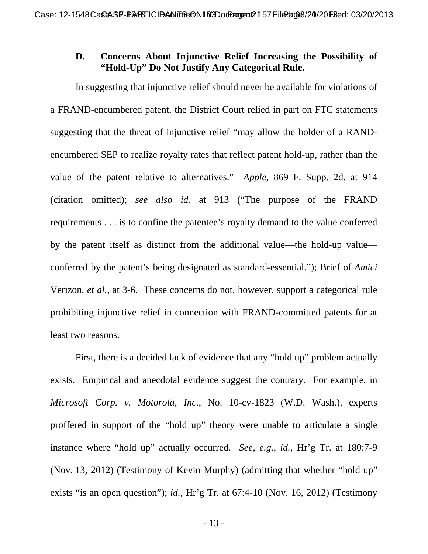## **D. Concerns About Injunctive Relief Increasing the Possibility of "Hold-Up" Do Not Justify Any Categorical Rule.**

In suggesting that injunctive relief should never be available for violations of a FRAND-encumbered patent, the District Court relied in part on FTC statements suggesting that the threat of injunctive relief "may allow the holder of a RANDencumbered SEP to realize royalty rates that reflect patent hold-up, rather than the value of the patent relative to alternatives." *Apple*, 869 F. Supp. 2d. at 914 (citation omitted); *see also id.* at 913 ("The purpose of the FRAND requirements . . . is to confine the patentee's royalty demand to the value conferred by the patent itself as distinct from the additional value—the hold-up value conferred by the patent's being designated as standard-essential."); Brief of *Amici* Verizon, *et al.*, at 3-6. These concerns do not, however, support a categorical rule prohibiting injunctive relief in connection with FRAND-committed patents for at least two reasons.

First, there is a decided lack of evidence that any "hold up" problem actually exists. Empirical and anecdotal evidence suggest the contrary. For example, in *Microsoft Corp. v. Motorola, Inc.*, No. 10-cv-1823 (W.D. Wash.), experts proffered in support of the "hold up" theory were unable to articulate a single instance where "hold up" actually occurred. *See, e.g.*, *id.*, Hr'g Tr. at 180:7-9 (Nov. 13, 2012) (Testimony of Kevin Murphy) (admitting that whether "hold up" exists "is an open question"); *id.*, Hr'g Tr. at 67:4-10 (Nov. 16, 2012) (Testimony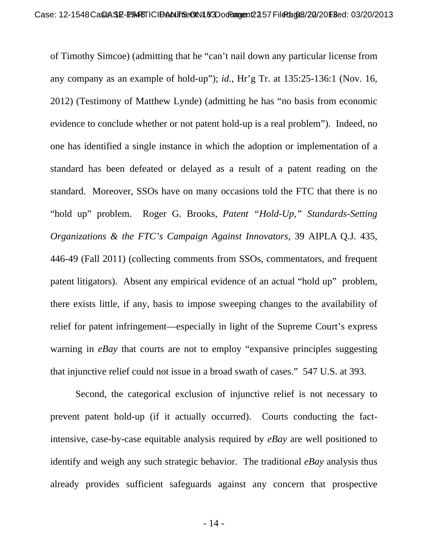of Timothy Simcoe) (admitting that he "can't nail down any particular license from any company as an example of hold-up"); *id.*, Hr'g Tr. at 135:25-136:1 (Nov. 16, 2012) (Testimony of Matthew Lynde) (admitting he has "no basis from economic evidence to conclude whether or not patent hold-up is a real problem"). Indeed, no one has identified a single instance in which the adoption or implementation of a standard has been defeated or delayed as a result of a patent reading on the standard. Moreover, SSOs have on many occasions told the FTC that there is no "hold up" problem. Roger G. Brooks, *Patent "Hold-Up," Standards-Setting Organizations & the FTC's Campaign Against Innovators*, 39 AIPLA Q.J. 435, 446-49 (Fall 2011) (collecting comments from SSOs, commentators, and frequent patent litigators). Absent any empirical evidence of an actual "hold up" problem, there exists little, if any, basis to impose sweeping changes to the availability of relief for patent infringement—especially in light of the Supreme Court's express warning in *eBay* that courts are not to employ "expansive principles suggesting that injunctive relief could not issue in a broad swath of cases." 547 U.S. at 393.

Second, the categorical exclusion of injunctive relief is not necessary to prevent patent hold-up (if it actually occurred). Courts conducting the factintensive, case-by-case equitable analysis required by *eBay* are well positioned to identify and weigh any such strategic behavior. The traditional *eBay* analysis thus already provides sufficient safeguards against any concern that prospective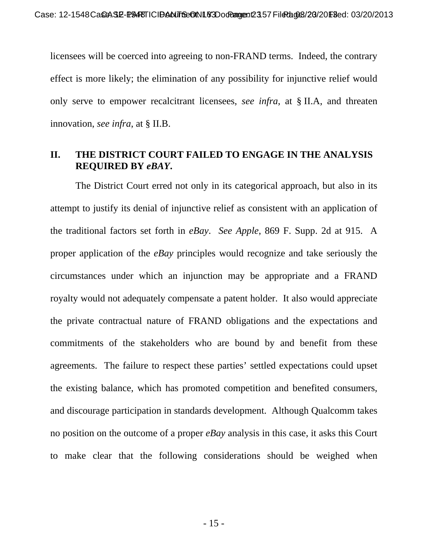licensees will be coerced into agreeing to non-FRAND terms. Indeed, the contrary effect is more likely; the elimination of any possibility for injunctive relief would only serve to empower recalcitrant licensees, *see infra*, at § II.A, and threaten innovation, *see infra*, at § II.B.

# **II. THE DISTRICT COURT FAILED TO ENGAGE IN THE ANALYSIS REQUIRED BY** *eBAY***.**

The District Court erred not only in its categorical approach, but also in its attempt to justify its denial of injunctive relief as consistent with an application of the traditional factors set forth in *eBay*. *See Apple*, 869 F. Supp. 2d at 915. A proper application of the *eBay* principles would recognize and take seriously the circumstances under which an injunction may be appropriate and a FRAND royalty would not adequately compensate a patent holder. It also would appreciate the private contractual nature of FRAND obligations and the expectations and commitments of the stakeholders who are bound by and benefit from these agreements. The failure to respect these parties' settled expectations could upset the existing balance, which has promoted competition and benefited consumers, and discourage participation in standards development. Although Qualcomm takes no position on the outcome of a proper *eBay* analysis in this case, it asks this Court to make clear that the following considerations should be weighed when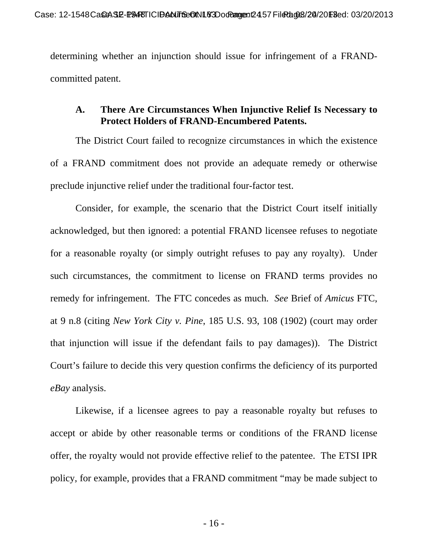determining whether an injunction should issue for infringement of a FRANDcommitted patent.

### **A. There Are Circumstances When Injunctive Relief Is Necessary to Protect Holders of FRAND-Encumbered Patents.**

The District Court failed to recognize circumstances in which the existence of a FRAND commitment does not provide an adequate remedy or otherwise preclude injunctive relief under the traditional four-factor test.

Consider, for example, the scenario that the District Court itself initially acknowledged, but then ignored: a potential FRAND licensee refuses to negotiate for a reasonable royalty (or simply outright refuses to pay any royalty). Under such circumstances, the commitment to license on FRAND terms provides no remedy for infringement. The FTC concedes as much. *See* Brief of *Amicus* FTC, at 9 n.8 (citing *New York City v. Pine*, 185 U.S. 93, 108 (1902) (court may order that injunction will issue if the defendant fails to pay damages)). The District Court's failure to decide this very question confirms the deficiency of its purported *eBay* analysis.

Likewise, if a licensee agrees to pay a reasonable royalty but refuses to accept or abide by other reasonable terms or conditions of the FRAND license offer, the royalty would not provide effective relief to the patentee. The ETSI IPR policy, for example, provides that a FRAND commitment "may be made subject to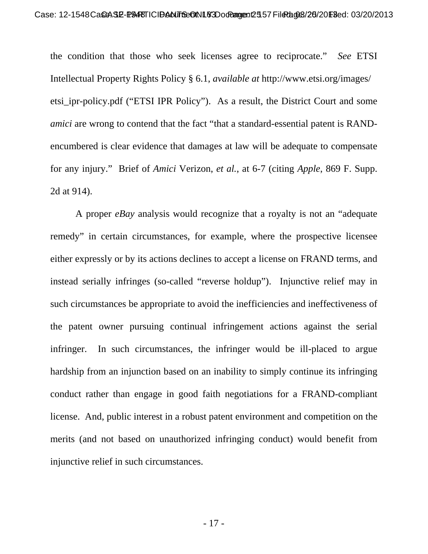the condition that those who seek licenses agree to reciprocate." *See* ETSI Intellectual Property Rights Policy § 6.1, *available at* http://www.etsi.org/images/ etsi\_ipr-policy.pdf ("ETSI IPR Policy"). As a result, the District Court and some *amici* are wrong to contend that the fact "that a standard-essential patent is RANDencumbered is clear evidence that damages at law will be adequate to compensate for any injury." Brief of *Amici* Verizon, *et al.*, at 6-7 (citing *Apple*, 869 F. Supp. 2d at 914).

A proper *eBay* analysis would recognize that a royalty is not an "adequate remedy" in certain circumstances, for example, where the prospective licensee either expressly or by its actions declines to accept a license on FRAND terms, and instead serially infringes (so-called "reverse holdup"). Injunctive relief may in such circumstances be appropriate to avoid the inefficiencies and ineffectiveness of the patent owner pursuing continual infringement actions against the serial infringer. In such circumstances, the infringer would be ill-placed to argue hardship from an injunction based on an inability to simply continue its infringing conduct rather than engage in good faith negotiations for a FRAND-compliant license. And, public interest in a robust patent environment and competition on the merits (and not based on unauthorized infringing conduct) would benefit from injunctive relief in such circumstances.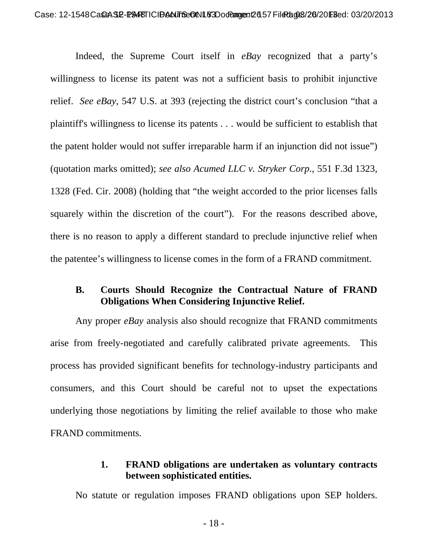Indeed, the Supreme Court itself in *eBay* recognized that a party's willingness to license its patent was not a sufficient basis to prohibit injunctive relief. *See eBay*, 547 U.S. at 393 (rejecting the district court's conclusion "that a plaintiff's willingness to license its patents . . . would be sufficient to establish that the patent holder would not suffer irreparable harm if an injunction did not issue") (quotation marks omitted); *see also Acumed LLC v. Stryker Corp*., 551 F.3d 1323, 1328 (Fed. Cir. 2008) (holding that "the weight accorded to the prior licenses falls squarely within the discretion of the court"). For the reasons described above, there is no reason to apply a different standard to preclude injunctive relief when the patentee's willingness to license comes in the form of a FRAND commitment.

#### **B. Courts Should Recognize the Contractual Nature of FRAND Obligations When Considering Injunctive Relief.**

Any proper *eBay* analysis also should recognize that FRAND commitments arise from freely-negotiated and carefully calibrated private agreements. This process has provided significant benefits for technology-industry participants and consumers, and this Court should be careful not to upset the expectations underlying those negotiations by limiting the relief available to those who make FRAND commitments.

## **1. FRAND obligations are undertaken as voluntary contracts between sophisticated entities.**

No statute or regulation imposes FRAND obligations upon SEP holders.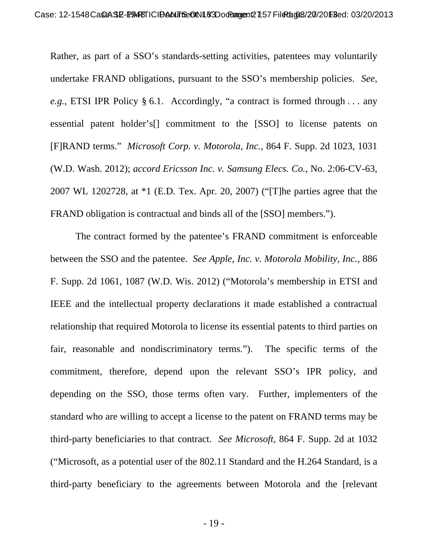Rather, as part of a SSO's standards-setting activities, patentees may voluntarily undertake FRAND obligations, pursuant to the SSO's membership policies. *See, e.g.*, ETSI IPR Policy § 6.1. Accordingly, "a contract is formed through . . . any essential patent holder's[] commitment to the [SSO] to license patents on [F]RAND terms." *Microsoft Corp. v. Motorola, Inc.*, 864 F. Supp. 2d 1023, 1031 (W.D. Wash. 2012); *accord Ericsson Inc. v. Samsung Elecs. Co.*, No. 2:06-CV-63, 2007 WL 1202728, at \*1 (E.D. Tex. Apr. 20, 2007) ("[T]he parties agree that the FRAND obligation is contractual and binds all of the [SSO] members.").

The contract formed by the patentee's FRAND commitment is enforceable between the SSO and the patentee. *See Apple, Inc. v. Motorola Mobility, Inc.*, 886 F. Supp. 2d 1061, 1087 (W.D. Wis. 2012) ("Motorola's membership in ETSI and IEEE and the intellectual property declarations it made established a contractual relationship that required Motorola to license its essential patents to third parties on fair, reasonable and nondiscriminatory terms."). The specific terms of the commitment, therefore, depend upon the relevant SSO's IPR policy, and depending on the SSO, those terms often vary. Further, implementers of the standard who are willing to accept a license to the patent on FRAND terms may be third-party beneficiaries to that contract. *See Microsoft*, 864 F. Supp. 2d at 1032 ("Microsoft, as a potential user of the 802.11 Standard and the H.264 Standard, is a third-party beneficiary to the agreements between Motorola and the [relevant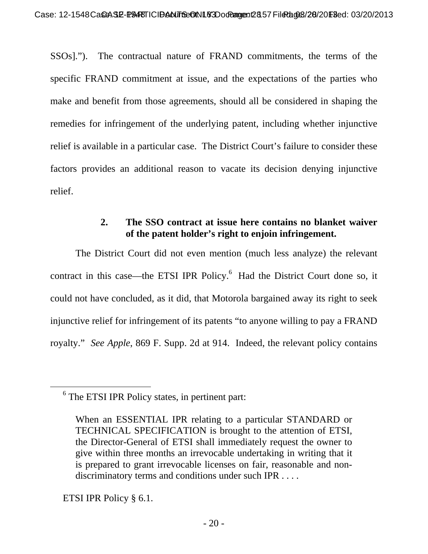SSOs]."). The contractual nature of FRAND commitments, the terms of the specific FRAND commitment at issue, and the expectations of the parties who make and benefit from those agreements, should all be considered in shaping the remedies for infringement of the underlying patent, including whether injunctive relief is available in a particular case. The District Court's failure to consider these factors provides an additional reason to vacate its decision denying injunctive relief.

# **2. The SSO contract at issue here contains no blanket waiver of the patent holder's right to enjoin infringement.**

The District Court did not even mention (much less analyze) the relevant contract in this case—the ETSI IPR Policy.<sup>6</sup> Had the District Court done so, it could not have concluded, as it did, that Motorola bargained away its right to seek injunctive relief for infringement of its patents "to anyone willing to pay a FRAND royalty." *See Apple*, 869 F. Supp. 2d at 914. Indeed, the relevant policy contains

ETSI IPR Policy § 6.1.

 <sup>6</sup> The ETSI IPR Policy states, in pertinent part:

When an ESSENTIAL IPR relating to a particular STANDARD or TECHNICAL SPECIFICATION is brought to the attention of ETSI, the Director-General of ETSI shall immediately request the owner to give within three months an irrevocable undertaking in writing that it is prepared to grant irrevocable licenses on fair, reasonable and nondiscriminatory terms and conditions under such IPR . . . .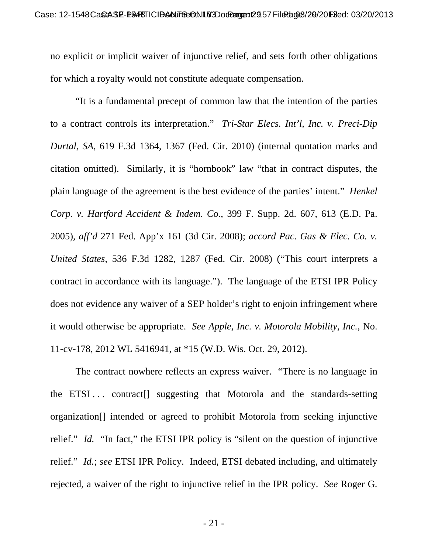no explicit or implicit waiver of injunctive relief, and sets forth other obligations for which a royalty would not constitute adequate compensation.

"It is a fundamental precept of common law that the intention of the parties to a contract controls its interpretation." *Tri-Star Elecs. Int'l, Inc. v. Preci-Dip Durtal, SA*, 619 F.3d 1364, 1367 (Fed. Cir. 2010) (internal quotation marks and citation omitted). Similarly, it is "hornbook" law "that in contract disputes, the plain language of the agreement is the best evidence of the parties' intent." *Henkel Corp. v. Hartford Accident & Indem. Co.*, 399 F. Supp. 2d. 607, 613 (E.D. Pa. 2005), *aff'd* 271 Fed. App'x 161 (3d Cir. 2008); *accord Pac. Gas & Elec. Co. v. United States*, 536 F.3d 1282, 1287 (Fed. Cir. 2008) ("This court interprets a contract in accordance with its language."). The language of the ETSI IPR Policy does not evidence any waiver of a SEP holder's right to enjoin infringement where it would otherwise be appropriate. *See Apple, Inc. v. Motorola Mobility, Inc.*, No. 11-cv-178, 2012 WL 5416941, at \*15 (W.D. Wis. Oct. 29, 2012).

The contract nowhere reflects an express waiver. "There is no language in the ETSI... contract<sup>[]</sup> suggesting that Motorola and the standards-setting organization[] intended or agreed to prohibit Motorola from seeking injunctive relief." *Id.* "In fact," the ETSI IPR policy is "silent on the question of injunctive relief." *Id.*; *see* ETSI IPR Policy. Indeed, ETSI debated including, and ultimately rejected, a waiver of the right to injunctive relief in the IPR policy. *See* Roger G.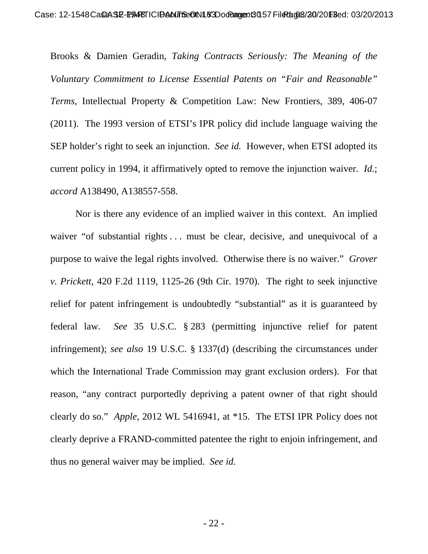Brooks & Damien Geradin, *Taking Contracts Seriously: The Meaning of the Voluntary Commitment to License Essential Patents on "Fair and Reasonable" Terms*, Intellectual Property & Competition Law: New Frontiers, 389, 406-07 (2011). The 1993 version of ETSI's IPR policy did include language waiving the SEP holder's right to seek an injunction. *See id.* However, when ETSI adopted its current policy in 1994, it affirmatively opted to remove the injunction waiver. *Id.*; *accord* A138490, A138557-558.

Nor is there any evidence of an implied waiver in this context. An implied waiver "of substantial rights ... must be clear, decisive, and unequivocal of a purpose to waive the legal rights involved. Otherwise there is no waiver." *Grover v. Prickett*, 420 F.2d 1119, 1125-26 (9th Cir. 1970). The right to seek injunctive relief for patent infringement is undoubtedly "substantial" as it is guaranteed by federal law. *See* 35 U.S.C. § 283 (permitting injunctive relief for patent infringement); *see also* 19 U.S.C. § 1337(d) (describing the circumstances under which the International Trade Commission may grant exclusion orders). For that reason, "any contract purportedly depriving a patent owner of that right should clearly do so." *Apple*, 2012 WL 5416941, at \*15. The ETSI IPR Policy does not clearly deprive a FRAND-committed patentee the right to enjoin infringement, and thus no general waiver may be implied. *See id.*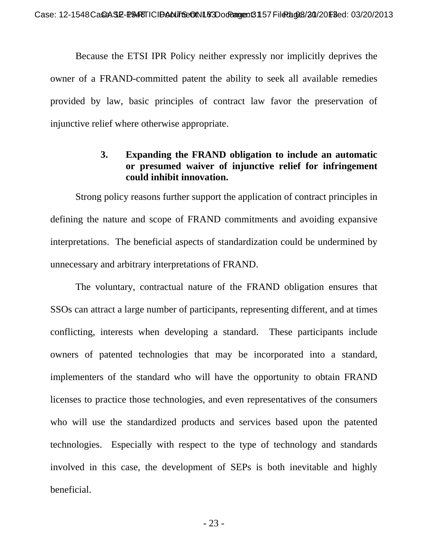Because the ETSI IPR Policy neither expressly nor implicitly deprives the owner of a FRAND-committed patent the ability to seek all available remedies provided by law, basic principles of contract law favor the preservation of injunctive relief where otherwise appropriate.

## **3. Expanding the FRAND obligation to include an automatic or presumed waiver of injunctive relief for infringement could inhibit innovation.**

Strong policy reasons further support the application of contract principles in defining the nature and scope of FRAND commitments and avoiding expansive interpretations. The beneficial aspects of standardization could be undermined by unnecessary and arbitrary interpretations of FRAND.

The voluntary, contractual nature of the FRAND obligation ensures that SSOs can attract a large number of participants, representing different, and at times conflicting, interests when developing a standard. These participants include owners of patented technologies that may be incorporated into a standard, implementers of the standard who will have the opportunity to obtain FRAND licenses to practice those technologies, and even representatives of the consumers who will use the standardized products and services based upon the patented technologies. Especially with respect to the type of technology and standards involved in this case, the development of SEPs is both inevitable and highly beneficial.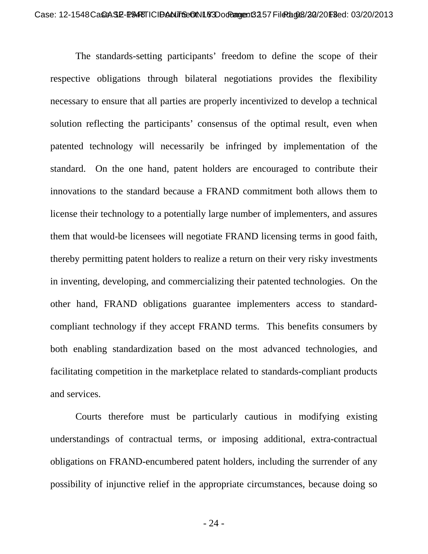The standards-setting participants' freedom to define the scope of their respective obligations through bilateral negotiations provides the flexibility necessary to ensure that all parties are properly incentivized to develop a technical solution reflecting the participants' consensus of the optimal result, even when patented technology will necessarily be infringed by implementation of the standard. On the one hand, patent holders are encouraged to contribute their innovations to the standard because a FRAND commitment both allows them to license their technology to a potentially large number of implementers, and assures them that would-be licensees will negotiate FRAND licensing terms in good faith, thereby permitting patent holders to realize a return on their very risky investments in inventing, developing, and commercializing their patented technologies. On the other hand, FRAND obligations guarantee implementers access to standardcompliant technology if they accept FRAND terms. This benefits consumers by both enabling standardization based on the most advanced technologies, and facilitating competition in the marketplace related to standards-compliant products and services.

Courts therefore must be particularly cautious in modifying existing understandings of contractual terms, or imposing additional, extra-contractual obligations on FRAND-encumbered patent holders, including the surrender of any possibility of injunctive relief in the appropriate circumstances, because doing so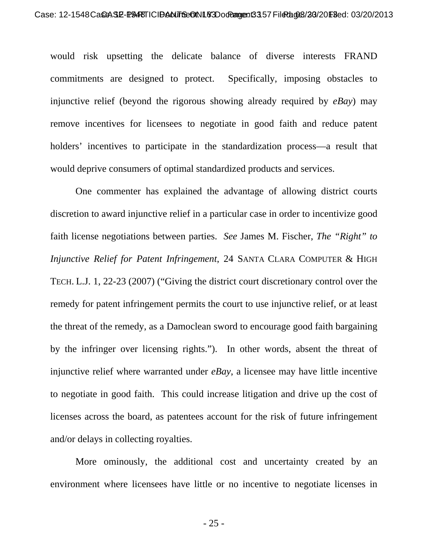would risk upsetting the delicate balance of diverse interests FRAND commitments are designed to protect. Specifically, imposing obstacles to injunctive relief (beyond the rigorous showing already required by *eBay*) may remove incentives for licensees to negotiate in good faith and reduce patent holders' incentives to participate in the standardization process—a result that would deprive consumers of optimal standardized products and services.

One commenter has explained the advantage of allowing district courts discretion to award injunctive relief in a particular case in order to incentivize good faith license negotiations between parties. *See* James M. Fischer, *The "Right" to Injunctive Relief for Patent Infringement*, 24 SANTA CLARA COMPUTER & HIGH TECH. L.J. 1, 22-23 (2007) ("Giving the district court discretionary control over the remedy for patent infringement permits the court to use injunctive relief, or at least the threat of the remedy, as a Damoclean sword to encourage good faith bargaining by the infringer over licensing rights."). In other words, absent the threat of injunctive relief where warranted under *eBay*, a licensee may have little incentive to negotiate in good faith. This could increase litigation and drive up the cost of licenses across the board, as patentees account for the risk of future infringement and/or delays in collecting royalties.

More ominously, the additional cost and uncertainty created by an environment where licensees have little or no incentive to negotiate licenses in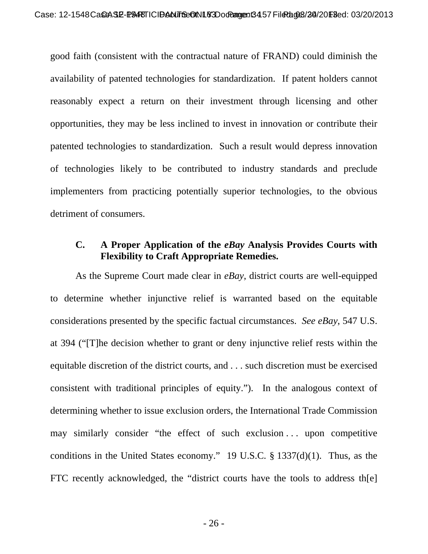good faith (consistent with the contractual nature of FRAND) could diminish the availability of patented technologies for standardization. If patent holders cannot reasonably expect a return on their investment through licensing and other opportunities, they may be less inclined to invest in innovation or contribute their patented technologies to standardization. Such a result would depress innovation of technologies likely to be contributed to industry standards and preclude implementers from practicing potentially superior technologies, to the obvious detriment of consumers.

#### **C. A Proper Application of the** *eBay* **Analysis Provides Courts with Flexibility to Craft Appropriate Remedies.**

As the Supreme Court made clear in *eBay*, district courts are well-equipped to determine whether injunctive relief is warranted based on the equitable considerations presented by the specific factual circumstances. *See eBay*, 547 U.S. at 394 ("[T]he decision whether to grant or deny injunctive relief rests within the equitable discretion of the district courts, and . . . such discretion must be exercised consistent with traditional principles of equity."). In the analogous context of determining whether to issue exclusion orders, the International Trade Commission may similarly consider "the effect of such exclusion . . . upon competitive conditions in the United States economy." 19 U.S.C. § 1337(d)(1). Thus, as the FTC recently acknowledged, the "district courts have the tools to address th[e]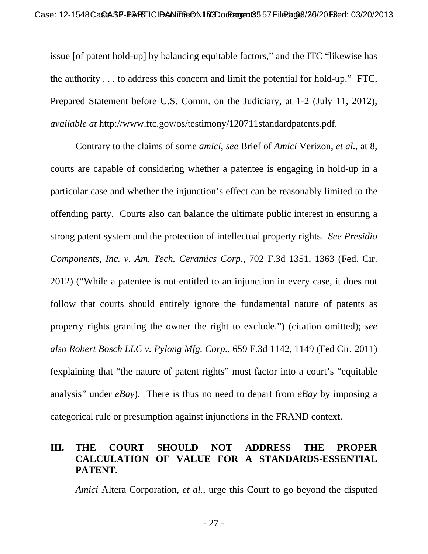issue [of patent hold-up] by balancing equitable factors," and the ITC "likewise has the authority . . . to address this concern and limit the potential for hold-up." FTC, Prepared Statement before U.S. Comm. on the Judiciary, at 1-2 (July 11, 2012), *available at* http://www.ftc.gov/os/testimony/120711standardpatents.pdf.

Contrary to the claims of some *amici*, *see* Brief of *Amici* Verizon, *et al.*, at 8, courts are capable of considering whether a patentee is engaging in hold-up in a particular case and whether the injunction's effect can be reasonably limited to the offending party. Courts also can balance the ultimate public interest in ensuring a strong patent system and the protection of intellectual property rights. *See Presidio Components, Inc. v. Am. Tech. Ceramics Corp.*, 702 F.3d 1351, 1363 (Fed. Cir. 2012) ("While a patentee is not entitled to an injunction in every case, it does not follow that courts should entirely ignore the fundamental nature of patents as property rights granting the owner the right to exclude.") (citation omitted); *see also Robert Bosch LLC v. Pylong Mfg. Corp.*, 659 F.3d 1142, 1149 (Fed Cir. 2011) (explaining that "the nature of patent rights" must factor into a court's "equitable analysis" under *eBay*). There is thus no need to depart from *eBay* by imposing a categorical rule or presumption against injunctions in the FRAND context.

# **III. THE COURT SHOULD NOT ADDRESS THE PROPER CALCULATION OF VALUE FOR A STANDARDS-ESSENTIAL PATENT.**

*Amici* Altera Corporation, *et al.*, urge this Court to go beyond the disputed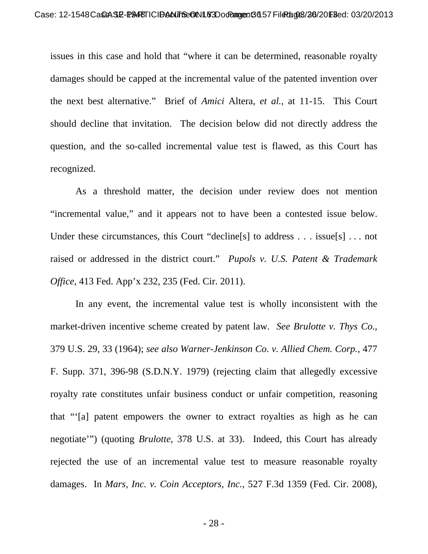issues in this case and hold that "where it can be determined, reasonable royalty damages should be capped at the incremental value of the patented invention over the next best alternative." Brief of *Amici* Altera, *et al.*, at 11-15. This Court should decline that invitation. The decision below did not directly address the question, and the so-called incremental value test is flawed, as this Court has recognized.

As a threshold matter, the decision under review does not mention "incremental value," and it appears not to have been a contested issue below. Under these circumstances, this Court "decline[s] to address . . . issue[s] . . . not raised or addressed in the district court." *Pupols v. U.S. Patent & Trademark Office*, 413 Fed. App'x 232, 235 (Fed. Cir. 2011).

In any event, the incremental value test is wholly inconsistent with the market-driven incentive scheme created by patent law. *See Brulotte v. Thys Co.*, 379 U.S. 29, 33 (1964); *see also Warner-Jenkinson Co. v. Allied Chem. Corp.*, 477 F. Supp. 371, 396-98 (S.D.N.Y. 1979) (rejecting claim that allegedly excessive royalty rate constitutes unfair business conduct or unfair competition, reasoning that "'[a] patent empowers the owner to extract royalties as high as he can negotiate'") (quoting *Brulotte*, 378 U.S. at 33). Indeed, this Court has already rejected the use of an incremental value test to measure reasonable royalty damages. In *Mars, Inc. v. Coin Acceptors, Inc.*, 527 F.3d 1359 (Fed. Cir. 2008),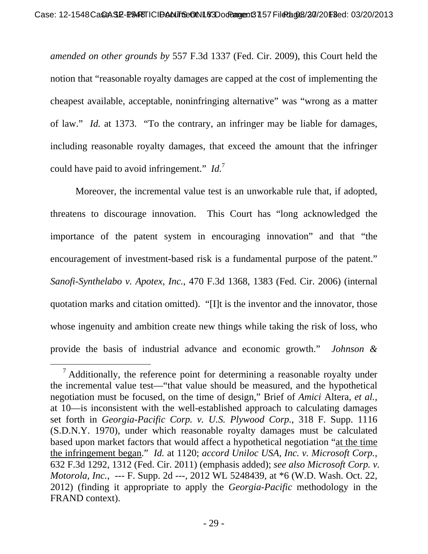*amended on other grounds by* 557 F.3d 1337 (Fed. Cir. 2009), this Court held the notion that "reasonable royalty damages are capped at the cost of implementing the cheapest available, acceptable, noninfringing alternative" was "wrong as a matter of law." *Id.* at 1373. "To the contrary, an infringer may be liable for damages, including reasonable royalty damages, that exceed the amount that the infringer could have paid to avoid infringement." *Id.*<sup>7</sup>

Moreover, the incremental value test is an unworkable rule that, if adopted, threatens to discourage innovation. This Court has "long acknowledged the importance of the patent system in encouraging innovation" and that "the encouragement of investment-based risk is a fundamental purpose of the patent." *Sanofi-Synthelabo v. Apotex, Inc.*, 470 F.3d 1368, 1383 (Fed. Cir. 2006) (internal quotation marks and citation omitted). "[I]t is the inventor and the innovator, those whose ingenuity and ambition create new things while taking the risk of loss, who provide the basis of industrial advance and economic growth." *Johnson &* 

<sup>&</sup>lt;sup>7</sup> Additionally, the reference point for determining a reasonable royalty under the incremental value test—"that value should be measured, and the hypothetical negotiation must be focused, on the time of design," Brief of *Amici* Altera, *et al.*, at 10—is inconsistent with the well-established approach to calculating damages set forth in *Georgia-Pacific Corp. v. U.S. Plywood Corp.*, 318 F. Supp. 1116 (S.D.N.Y. 1970), under which reasonable royalty damages must be calculated based upon market factors that would affect a hypothetical negotiation "at the time the infringement began." *Id.* at 1120; *accord Uniloc USA, Inc. v. Microsoft Corp.*, 632 F.3d 1292, 1312 (Fed. Cir. 2011) (emphasis added); *see also Microsoft Corp. v. Motorola, Inc.*, --- F. Supp. 2d ---, 2012 WL 5248439, at \*6 (W.D. Wash. Oct. 22, 2012) (finding it appropriate to apply the *Georgia-Pacific* methodology in the FRAND context).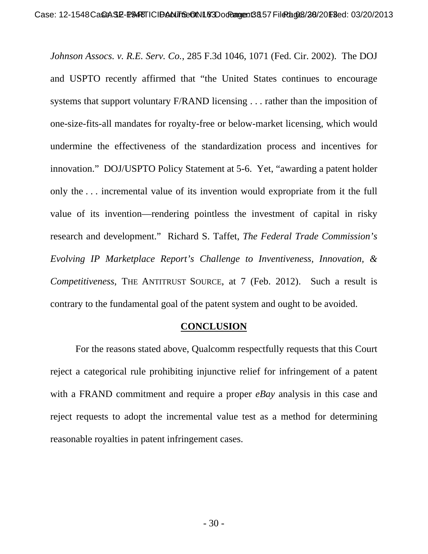*Johnson Assocs. v. R.E. Serv. Co.*, 285 F.3d 1046, 1071 (Fed. Cir. 2002). The DOJ and USPTO recently affirmed that "the United States continues to encourage systems that support voluntary F/RAND licensing . . . rather than the imposition of one-size-fits-all mandates for royalty-free or below-market licensing, which would undermine the effectiveness of the standardization process and incentives for innovation." DOJ/USPTO Policy Statement at 5-6. Yet, "awarding a patent holder only the . . . incremental value of its invention would expropriate from it the full value of its invention—rendering pointless the investment of capital in risky research and development." Richard S. Taffet, *The Federal Trade Commission's Evolving IP Marketplace Report's Challenge to Inventiveness, Innovation, & Competitiveness*, THE ANTITRUST SOURCE, at 7 (Feb. 2012). Such a result is contrary to the fundamental goal of the patent system and ought to be avoided.

#### **CONCLUSION**

For the reasons stated above, Qualcomm respectfully requests that this Court reject a categorical rule prohibiting injunctive relief for infringement of a patent with a FRAND commitment and require a proper *eBay* analysis in this case and reject requests to adopt the incremental value test as a method for determining reasonable royalties in patent infringement cases.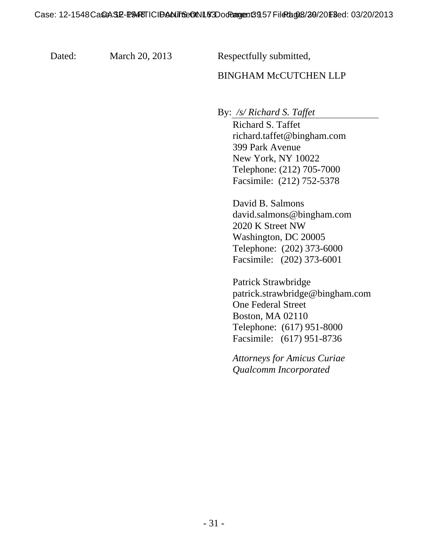Dated: March 20, 2013 Respectfully submitted,

### BINGHAM McCUTCHEN LLP

By: */s/ Richard S. Taffet* 

Richard S. Taffet richard.taffet@bingham.com 399 Park Avenue New York, NY 10022 Telephone: (212) 705-7000 Facsimile: (212) 752-5378

David B. Salmons david.salmons@bingham.com 2020 K Street NW Washington, DC 20005 Telephone: (202) 373-6000 Facsimile: (202) 373-6001

Patrick Strawbridge patrick.strawbridge@bingham.com One Federal Street Boston, MA 02110 Telephone: (617) 951-8000 Facsimile: (617) 951-8736

*Attorneys for Amicus Curiae Qualcomm Incorporated*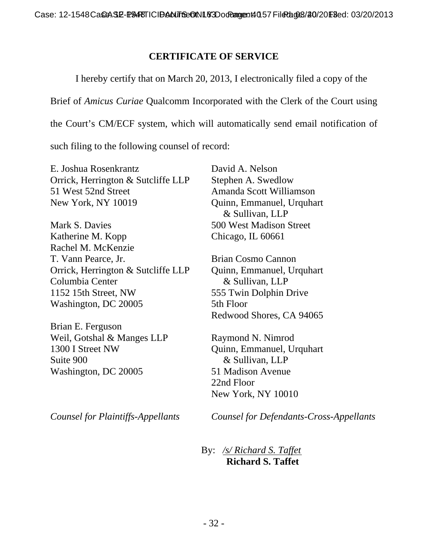## **CERTIFICATE OF SERVICE**

 I hereby certify that on March 20, 2013, I electronically filed a copy of the Brief of *Amicus Curiae* Qualcomm Incorporated with the Clerk of the Court using the Court's CM/ECF system, which will automatically send email notification of such filing to the following counsel of record:

E. Joshua Rosenkrantz Orrick, Herrington & Sutcliffe LLP 51 West 52nd Street New York, NY 10019

Mark S. Davies Katherine M. Kopp Rachel M. McKenzie T. Vann Pearce, Jr. Orrick, Herrington & Sutcliffe LLP Columbia Center 1152 15th Street, NW Washington, DC 20005

Brian E. Ferguson Weil, Gotshal & Manges LLP 1300 I Street NW Suite 900 Washington, DC 20005

*Counsel for Plaintiffs-Appellants* 

David A. Nelson Stephen A. Swedlow Amanda Scott Williamson Quinn, Emmanuel, Urquhart & Sullivan, LLP 500 West Madison Street Chicago, IL 60661

Brian Cosmo Cannon Quinn, Emmanuel, Urquhart & Sullivan, LLP 555 Twin Dolphin Drive 5th Floor Redwood Shores, CA 94065

Raymond N. Nimrod Quinn, Emmanuel, Urquhart & Sullivan, LLP 51 Madison Avenue 22nd Floor New York, NY 10010

*Counsel for Defendants-Cross-Appellants* 

 By: */s/ Richard S. Taffet*  **Richard S. Taffet**